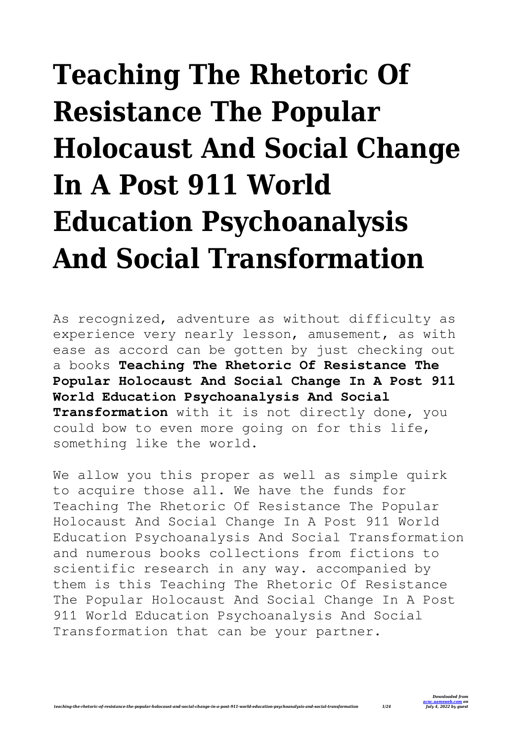## **Teaching The Rhetoric Of Resistance The Popular Holocaust And Social Change In A Post 911 World Education Psychoanalysis And Social Transformation**

As recognized, adventure as without difficulty as experience very nearly lesson, amusement, as with ease as accord can be gotten by just checking out a books **Teaching The Rhetoric Of Resistance The Popular Holocaust And Social Change In A Post 911 World Education Psychoanalysis And Social Transformation** with it is not directly done, you could bow to even more going on for this life, something like the world.

We allow you this proper as well as simple quirk to acquire those all. We have the funds for Teaching The Rhetoric Of Resistance The Popular Holocaust And Social Change In A Post 911 World Education Psychoanalysis And Social Transformation and numerous books collections from fictions to scientific research in any way. accompanied by them is this Teaching The Rhetoric Of Resistance The Popular Holocaust And Social Change In A Post 911 World Education Psychoanalysis And Social Transformation that can be your partner.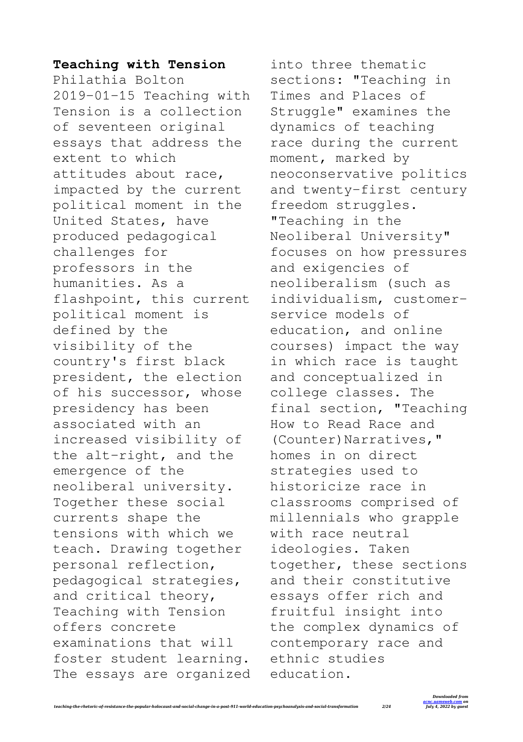## **Teaching with Tension**

Philathia Bolton 2019-01-15 Teaching with Tension is a collection of seventeen original essays that address the extent to which attitudes about race, impacted by the current political moment in the United States, have produced pedagogical challenges for professors in the humanities. As a flashpoint, this current political moment is defined by the visibility of the country's first black president, the election of his successor, whose presidency has been associated with an increased visibility of the alt-right, and the emergence of the neoliberal university. Together these social currents shape the tensions with which we teach. Drawing together personal reflection, pedagogical strategies, and critical theory, Teaching with Tension offers concrete examinations that will foster student learning. The essays are organized

into three thematic sections: "Teaching in Times and Places of Struggle" examines the dynamics of teaching race during the current moment, marked by neoconservative politics and twenty-first century freedom struggles. "Teaching in the Neoliberal University" focuses on how pressures and exigencies of neoliberalism (such as individualism, customerservice models of education, and online courses) impact the way in which race is taught and conceptualized in college classes. The final section, "Teaching How to Read Race and (Counter)Narratives," homes in on direct strategies used to historicize race in classrooms comprised of millennials who grapple with race neutral ideologies. Taken together, these sections and their constitutive essays offer rich and fruitful insight into the complex dynamics of contemporary race and ethnic studies education.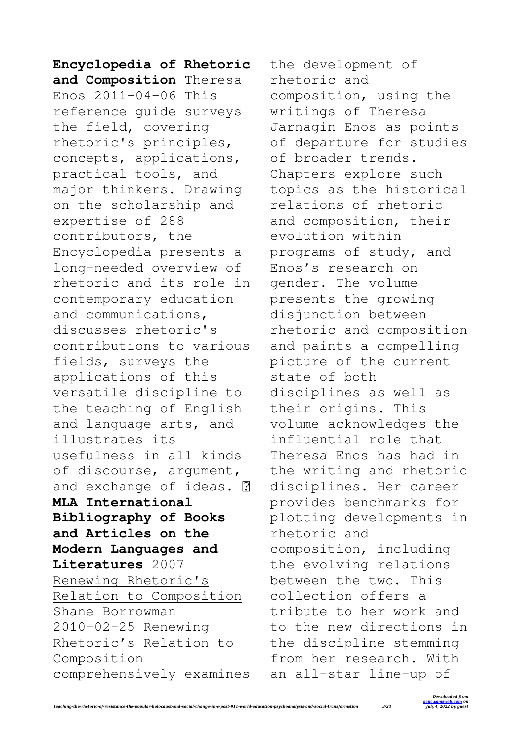**Encyclopedia of Rhetoric and Composition** Theresa Enos 2011-04-06 This reference guide surveys the field, covering rhetoric's principles, concepts, applications, practical tools, and major thinkers. Drawing on the scholarship and expertise of 288 contributors, the Encyclopedia presents a long-needed overview of rhetoric and its role in contemporary education and communications, discusses rhetoric's contributions to various fields, surveys the applications of this versatile discipline to the teaching of English and language arts, and illustrates its usefulness in all kinds of discourse, argument, and exchange of ideas. **MLA International Bibliography of Books and Articles on the Modern Languages and Literatures** 2007 Renewing Rhetoric's Relation to Composition Shane Borrowman 2010-02-25 Renewing Rhetoric's Relation to Composition comprehensively examines the development of rhetoric and composition, using the writings of Theresa Jarnagin Enos as points of departure for studies of broader trends. Chapters explore such topics as the historical relations of rhetoric and composition, their evolution within programs of study, and Enos's research on gender. The volume presents the growing disjunction between rhetoric and composition and paints a compelling picture of the current state of both disciplines as well as their origins. This volume acknowledges the influential role that Theresa Enos has had in the writing and rhetoric disciplines. Her career provides benchmarks for plotting developments in rhetoric and composition, including the evolving relations between the two. This collection offers a tribute to her work and to the new directions in the discipline stemming from her research. With an all-star line-up of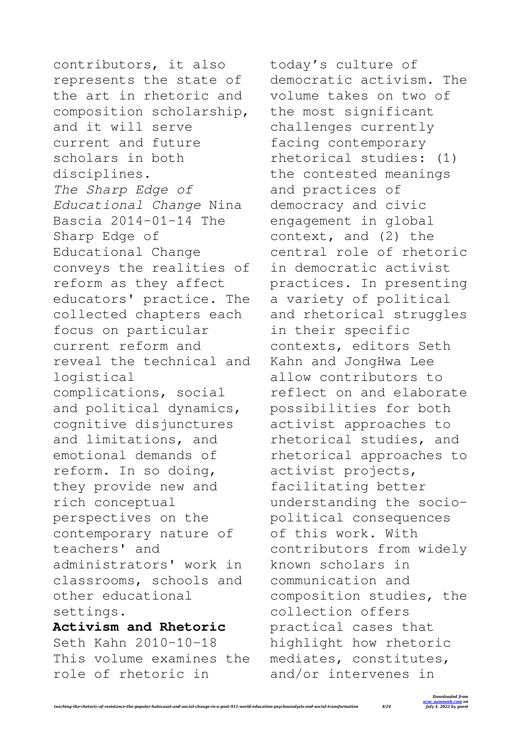contributors, it also represents the state of the art in rhetoric and composition scholarship, and it will serve current and future scholars in both disciplines. *The Sharp Edge of Educational Change* Nina Bascia 2014-01-14 The Sharp Edge of Educational Change conveys the realities of reform as they affect educators' practice. The collected chapters each focus on particular current reform and reveal the technical and logistical complications, social and political dynamics, cognitive disjunctures and limitations, and emotional demands of reform. In so doing, they provide new and rich conceptual perspectives on the contemporary nature of teachers' and administrators' work in classrooms, schools and other educational settings. **Activism and Rhetoric** Seth Kahn 2010-10-18 This volume examines the

role of rhetoric in

today's culture of democratic activism. The volume takes on two of the most significant challenges currently facing contemporary rhetorical studies: (1) the contested meanings and practices of democracy and civic engagement in global context, and (2) the central role of rhetoric in democratic activist practices. In presenting a variety of political and rhetorical struggles in their specific contexts, editors Seth Kahn and JongHwa Lee allow contributors to reflect on and elaborate possibilities for both activist approaches to rhetorical studies, and rhetorical approaches to activist projects, facilitating better understanding the sociopolitical consequences of this work. With contributors from widely known scholars in communication and composition studies, the collection offers practical cases that highlight how rhetoric mediates, constitutes, and/or intervenes in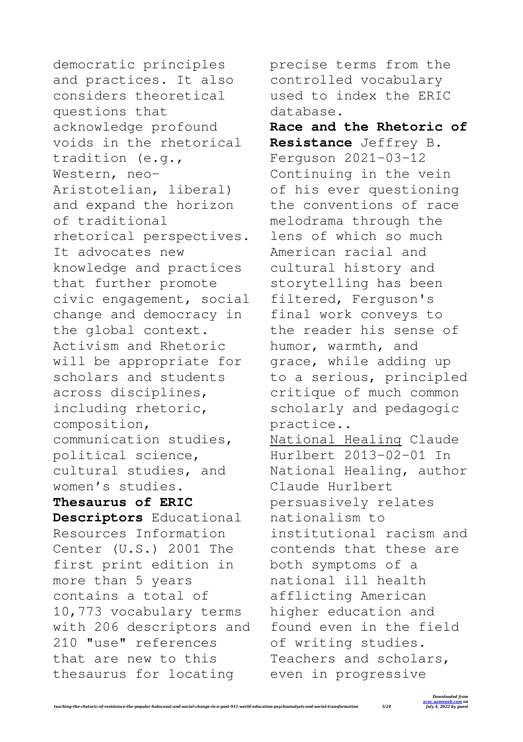democratic principles and practices. It also considers theoretical questions that acknowledge profound voids in the rhetorical tradition (e.g., Western, neo-Aristotelian, liberal) and expand the horizon of traditional rhetorical perspectives. It advocates new knowledge and practices that further promote civic engagement, social change and democracy in the global context. Activism and Rhetoric will be appropriate for scholars and students across disciplines, including rhetoric, composition, communication studies, political science, cultural studies, and women's studies. **Thesaurus of ERIC Descriptors** Educational Resources Information Center (U.S.) 2001 The first print edition in more than 5 years contains a total of 10,773 vocabulary terms with 206 descriptors and 210 "use" references that are new to this thesaurus for locating

precise terms from the controlled vocabulary used to index the ERIC database.

**Race and the Rhetoric of Resistance** Jeffrey B. Ferguson 2021-03-12 Continuing in the vein of his ever questioning the conventions of race melodrama through the lens of which so much American racial and cultural history and storytelling has been filtered, Ferguson's final work conveys to the reader his sense of humor, warmth, and grace, while adding up to a serious, principled critique of much common scholarly and pedagogic practice.. National Healing Claude Hurlbert 2013-02-01 In National Healing, author Claude Hurlbert persuasively relates nationalism to institutional racism and contends that these are both symptoms of a national ill health afflicting American higher education and found even in the field of writing studies. Teachers and scholars, even in progressive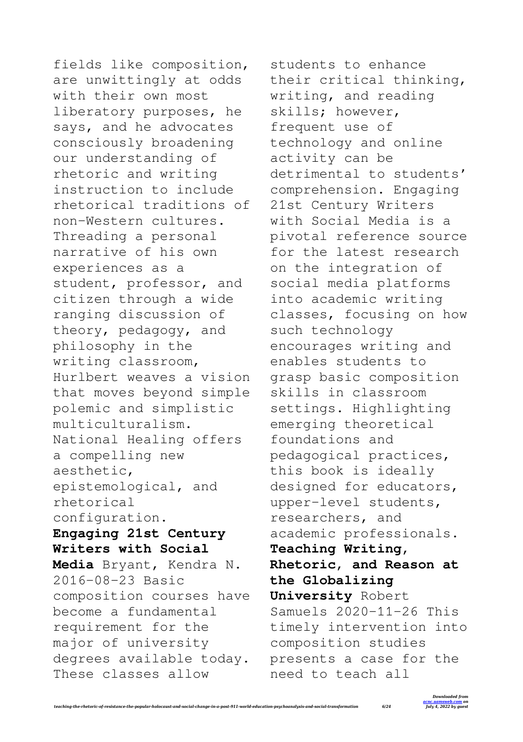fields like composition, are unwittingly at odds with their own most liberatory purposes, he says, and he advocates consciously broadening our understanding of rhetoric and writing instruction to include rhetorical traditions of non-Western cultures. Threading a personal narrative of his own experiences as a student, professor, and citizen through a wide ranging discussion of theory, pedagogy, and philosophy in the writing classroom, Hurlbert weaves a vision that moves beyond simple polemic and simplistic multiculturalism. National Healing offers a compelling new aesthetic, epistemological, and rhetorical configuration. **Engaging 21st Century Writers with Social Media** Bryant, Kendra N. 2016-08-23 Basic composition courses have become a fundamental requirement for the major of university degrees available today.

These classes allow

students to enhance their critical thinking, writing, and reading skills; however, frequent use of technology and online activity can be detrimental to students' comprehension. Engaging 21st Century Writers with Social Media is a pivotal reference source for the latest research on the integration of social media platforms into academic writing classes, focusing on how such technology encourages writing and enables students to grasp basic composition skills in classroom settings. Highlighting emerging theoretical foundations and pedagogical practices, this book is ideally designed for educators, upper-level students, researchers, and academic professionals. **Teaching Writing, Rhetoric, and Reason at the Globalizing University** Robert Samuels 2020-11-26 This timely intervention into composition studies presents a case for the need to teach all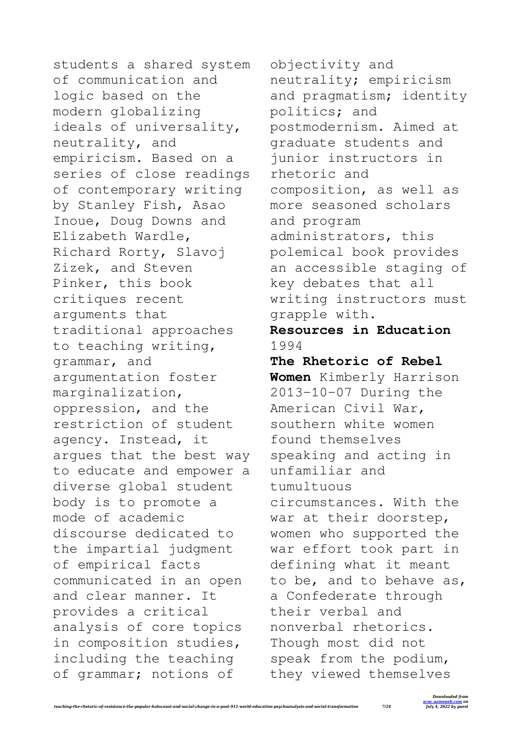students a shared system of communication and logic based on the modern globalizing ideals of universality, neutrality, and empiricism. Based on a series of close readings of contemporary writing by Stanley Fish, Asao Inoue, Doug Downs and Elizabeth Wardle, Richard Rorty, Slavoj Zizek, and Steven Pinker, this book critiques recent arguments that traditional approaches to teaching writing, grammar, and argumentation foster marginalization, oppression, and the restriction of student agency. Instead, it argues that the best way to educate and empower a diverse global student body is to promote a mode of academic discourse dedicated to the impartial judgment of empirical facts communicated in an open and clear manner. It provides a critical analysis of core topics in composition studies, including the teaching of grammar; notions of

objectivity and neutrality; empiricism and pragmatism; identity politics; and postmodernism. Aimed at graduate students and junior instructors in rhetoric and composition, as well as more seasoned scholars and program administrators, this polemical book provides an accessible staging of key debates that all writing instructors must grapple with. **Resources in Education** 1994 **The Rhetoric of Rebel Women** Kimberly Harrison 2013-10-07 During the American Civil War, southern white women found themselves speaking and acting in unfamiliar and tumultuous circumstances. With the war at their doorstep, women who supported the war effort took part in defining what it meant to be, and to behave as, a Confederate through their verbal and

nonverbal rhetorics. Though most did not speak from the podium, they viewed themselves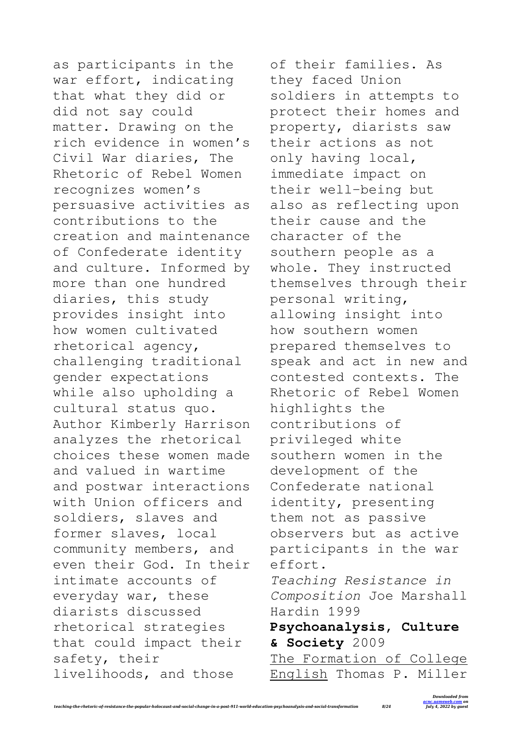as participants in the war effort, indicating that what they did or did not say could matter. Drawing on the rich evidence in women's Civil War diaries, The Rhetoric of Rebel Women recognizes women's persuasive activities as contributions to the creation and maintenance of Confederate identity and culture. Informed by more than one hundred diaries, this study provides insight into how women cultivated rhetorical agency, challenging traditional gender expectations while also upholding a cultural status quo. Author Kimberly Harrison analyzes the rhetorical choices these women made and valued in wartime and postwar interactions with Union officers and soldiers, slaves and former slaves, local community members, and even their God. In their intimate accounts of everyday war, these diarists discussed rhetorical strategies that could impact their safety, their livelihoods, and those

of their families. As they faced Union soldiers in attempts to protect their homes and property, diarists saw their actions as not only having local, immediate impact on their well-being but also as reflecting upon their cause and the character of the southern people as a whole. They instructed themselves through their personal writing, allowing insight into how southern women prepared themselves to speak and act in new and contested contexts. The Rhetoric of Rebel Women highlights the contributions of privileged white southern women in the development of the Confederate national identity, presenting them not as passive observers but as active participants in the war effort. *Teaching Resistance in Composition* Joe Marshall Hardin 1999 **Psychoanalysis, Culture & Society** 2009 The Formation of College English Thomas P. Miller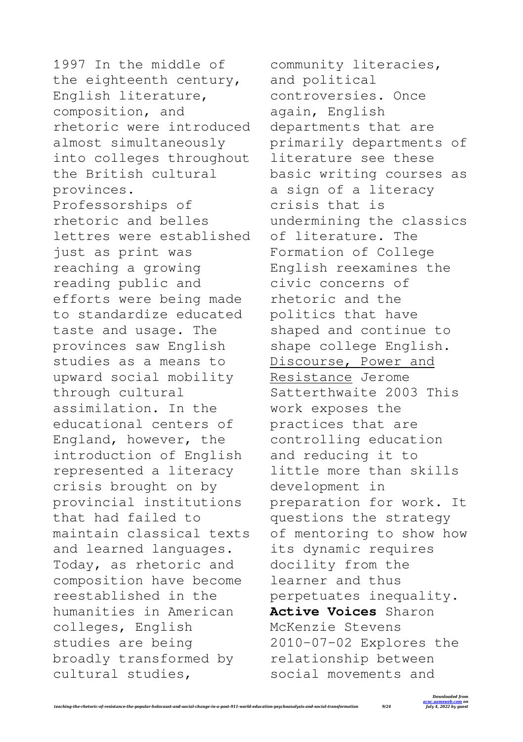1997 In the middle of the eighteenth century, English literature, composition, and rhetoric were introduced almost simultaneously into colleges throughout the British cultural provinces. Professorships of rhetoric and belles lettres were established just as print was reaching a growing reading public and efforts were being made to standardize educated taste and usage. The provinces saw English studies as a means to upward social mobility through cultural assimilation. In the educational centers of England, however, the introduction of English represented a literacy crisis brought on by provincial institutions that had failed to maintain classical texts and learned languages. Today, as rhetoric and composition have become reestablished in the humanities in American colleges, English studies are being broadly transformed by cultural studies,

community literacies, and political controversies. Once again, English departments that are primarily departments of literature see these basic writing courses as a sign of a literacy crisis that is undermining the classics of literature. The Formation of College English reexamines the civic concerns of rhetoric and the politics that have shaped and continue to shape college English. Discourse, Power and Resistance Jerome Satterthwaite 2003 This work exposes the practices that are controlling education and reducing it to little more than skills development in preparation for work. It questions the strategy of mentoring to show how its dynamic requires docility from the learner and thus perpetuates inequality. **Active Voices** Sharon McKenzie Stevens 2010-07-02 Explores the relationship between social movements and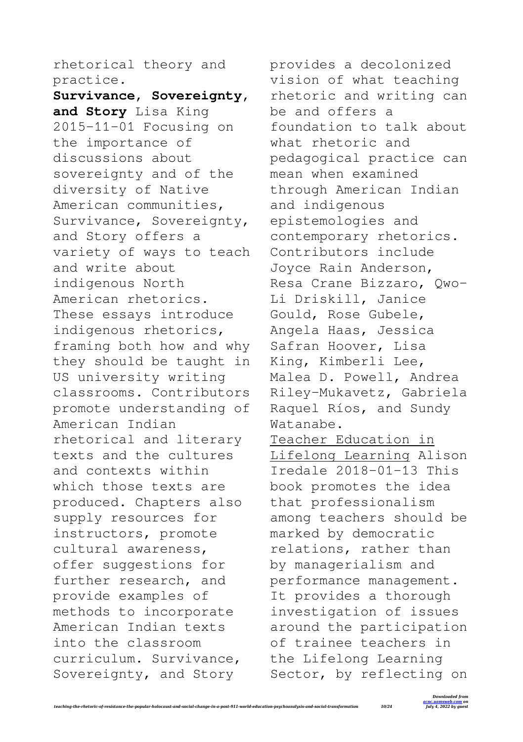rhetorical theory and practice.

**Survivance, Sovereignty, and Story** Lisa King 2015-11-01 Focusing on the importance of discussions about sovereignty and of the diversity of Native American communities, Survivance, Sovereignty, and Story offers a variety of ways to teach and write about indigenous North American rhetorics. These essays introduce indigenous rhetorics, framing both how and why they should be taught in US university writing classrooms. Contributors promote understanding of American Indian rhetorical and literary texts and the cultures and contexts within which those texts are produced. Chapters also supply resources for instructors, promote cultural awareness, offer suggestions for further research, and provide examples of methods to incorporate American Indian texts into the classroom curriculum. Survivance, Sovereignty, and Story

provides a decolonized vision of what teaching rhetoric and writing can be and offers a foundation to talk about what rhetoric and pedagogical practice can mean when examined through American Indian and indigenous epistemologies and contemporary rhetorics. Contributors include Joyce Rain Anderson, Resa Crane Bizzaro, Qwo-Li Driskill, Janice Gould, Rose Gubele, Angela Haas, Jessica Safran Hoover, Lisa King, Kimberli Lee, Malea D. Powell, Andrea Riley-Mukavetz, Gabriela Raquel Ríos, and Sundy Watanabe. Teacher Education in Lifelong Learning Alison Iredale 2018-01-13 This

book promotes the idea that professionalism among teachers should be marked by democratic relations, rather than by managerialism and performance management. It provides a thorough investigation of issues around the participation of trainee teachers in the Lifelong Learning Sector, by reflecting on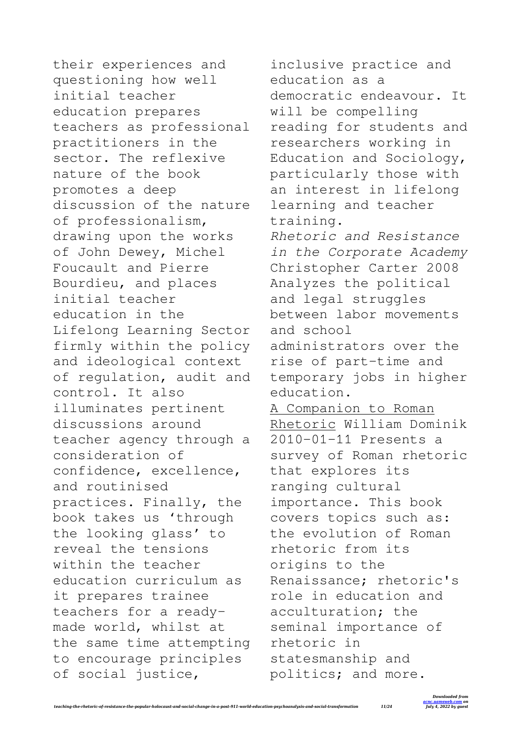their experiences and questioning how well initial teacher education prepares teachers as professional practitioners in the sector. The reflexive nature of the book promotes a deep discussion of the nature of professionalism, drawing upon the works of John Dewey, Michel Foucault and Pierre Bourdieu, and places initial teacher education in the Lifelong Learning Sector firmly within the policy and ideological context of regulation, audit and control. It also illuminates pertinent discussions around teacher agency through a consideration of confidence, excellence, and routinised practices. Finally, the book takes us 'through the looking glass' to reveal the tensions within the teacher education curriculum as it prepares trainee teachers for a readymade world, whilst at the same time attempting to encourage principles of social justice,

inclusive practice and education as a democratic endeavour. It will be compelling reading for students and researchers working in Education and Sociology, particularly those with an interest in lifelong learning and teacher training. *Rhetoric and Resistance in the Corporate Academy* Christopher Carter 2008 Analyzes the political and legal struggles between labor movements and school administrators over the rise of part-time and temporary jobs in higher education. A Companion to Roman Rhetoric William Dominik 2010-01-11 Presents a survey of Roman rhetoric that explores its ranging cultural importance. This book covers topics such as: the evolution of Roman rhetoric from its origins to the Renaissance; rhetoric's role in education and acculturation; the seminal importance of rhetoric in statesmanship and politics; and more.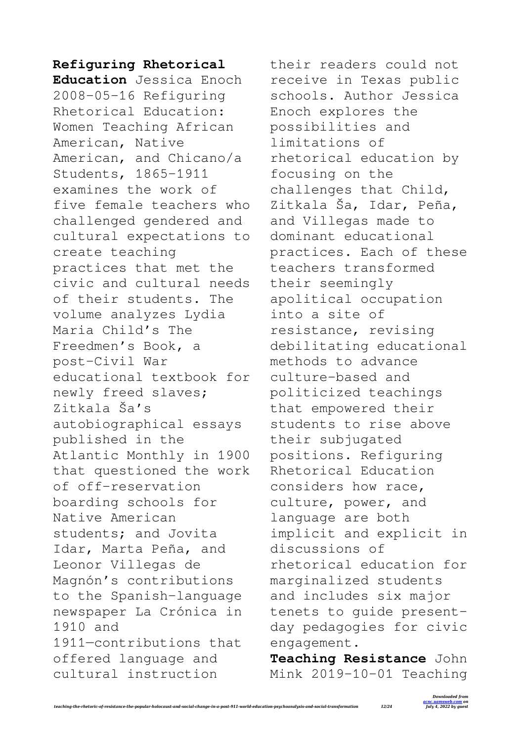## **Refiguring Rhetorical**

**Education** Jessica Enoch 2008-05-16 Refiguring Rhetorical Education: Women Teaching African American, Native American, and Chicano/a Students, 1865-1911 examines the work of five female teachers who challenged gendered and cultural expectations to create teaching practices that met the civic and cultural needs of their students. The volume analyzes Lydia Maria Child's The Freedmen's Book, a post–Civil War educational textbook for newly freed slaves; Zitkala Ša's autobiographical essays published in the Atlantic Monthly in 1900 that questioned the work of off-reservation boarding schools for Native American students; and Jovita Idar, Marta Peña, and Leonor Villegas de Magnón's contributions to the Spanish-language newspaper La Crónica in 1910 and 1911—contributions that offered language and cultural instruction

their readers could not receive in Texas public schools. Author Jessica Enoch explores the possibilities and limitations of rhetorical education by focusing on the challenges that Child, Zitkala Ša, Idar, Peña, and Villegas made to dominant educational practices. Each of these teachers transformed their seemingly apolitical occupation into a site of resistance, revising debilitating educational methods to advance culture-based and politicized teachings that empowered their students to rise above their subjugated positions. Refiguring Rhetorical Education considers how race, culture, power, and language are both implicit and explicit in discussions of rhetorical education for marginalized students and includes six major tenets to guide presentday pedagogies for civic engagement.

**Teaching Resistance** John Mink 2019-10-01 Teaching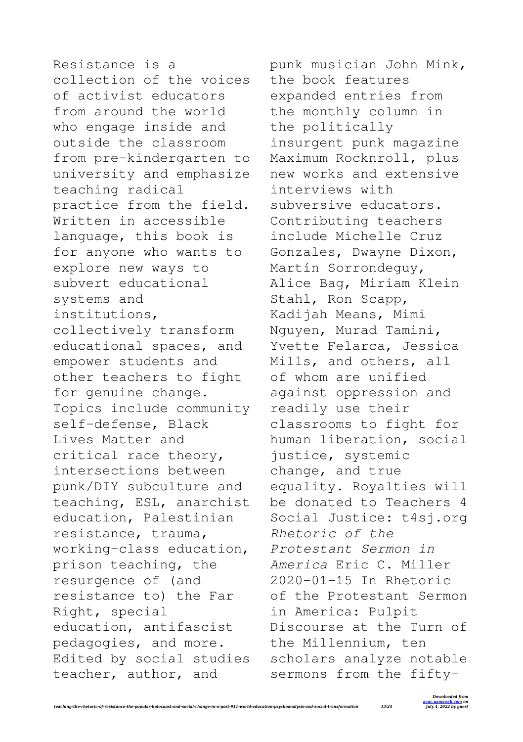Resistance is a collection of the voices of activist educators from around the world who engage inside and outside the classroom from pre-kindergarten to university and emphasize teaching radical practice from the field. Written in accessible language, this book is for anyone who wants to explore new ways to subvert educational systems and institutions, collectively transform educational spaces, and empower students and other teachers to fight for genuine change. Topics include community self-defense, Black Lives Matter and critical race theory, intersections between punk/DIY subculture and teaching, ESL, anarchist education, Palestinian resistance, trauma, working-class education, prison teaching, the resurgence of (and resistance to) the Far Right, special education, antifascist pedagogies, and more. Edited by social studies teacher, author, and

punk musician John Mink, the book features expanded entries from the monthly column in the politically insurgent punk magazine Maximum Rocknroll, plus new works and extensive interviews with subversive educators. Contributing teachers include Michelle Cruz Gonzales, Dwayne Dixon, Martín Sorrondeguy, Alice Bag, Miriam Klein Stahl, Ron Scapp, Kadijah Means, Mimi Nguyen, Murad Tamini, Yvette Felarca, Jessica Mills, and others, all of whom are unified against oppression and readily use their classrooms to fight for human liberation, social justice, systemic change, and true equality. Royalties will be donated to Teachers 4 Social Justice: t4si.org *Rhetoric of the Protestant Sermon in America* Eric C. Miller 2020-01-15 In Rhetoric of the Protestant Sermon in America: Pulpit Discourse at the Turn of the Millennium, ten scholars analyze notable sermons from the fifty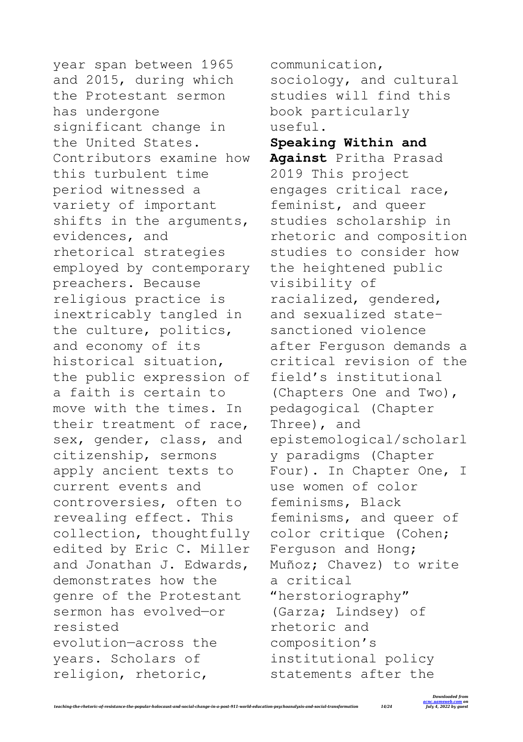year span between 1965 and 2015, during which the Protestant sermon has undergone significant change in the United States. Contributors examine how this turbulent time period witnessed a variety of important shifts in the arguments, evidences, and rhetorical strategies employed by contemporary preachers. Because religious practice is inextricably tangled in the culture, politics, and economy of its historical situation, the public expression of a faith is certain to move with the times. In their treatment of race, sex, gender, class, and citizenship, sermons apply ancient texts to current events and controversies, often to revealing effect. This collection, thoughtfully edited by Eric C. Miller and Jonathan J. Edwards, demonstrates how the genre of the Protestant sermon has evolved—or resisted evolution—across the years. Scholars of religion, rhetoric,

communication, sociology, and cultural studies will find this book particularly useful.

**Speaking Within and Against** Pritha Prasad 2019 This project engages critical race, feminist, and queer studies scholarship in rhetoric and composition studies to consider how the heightened public visibility of racialized, gendered, and sexualized statesanctioned violence after Ferguson demands a critical revision of the field's institutional (Chapters One and Two), pedagogical (Chapter Three), and epistemological/scholarl y paradigms (Chapter Four). In Chapter One, I use women of color feminisms, Black feminisms, and queer of color critique (Cohen; Ferguson and Hong; Muñoz; Chavez) to write a critical "herstoriography" (Garza; Lindsey) of rhetoric and composition's institutional policy statements after the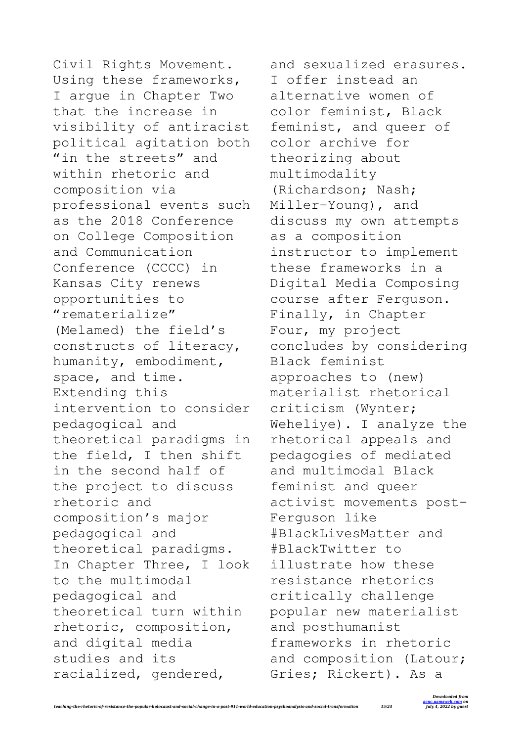Civil Rights Movement. Using these frameworks, I argue in Chapter Two that the increase in visibility of antiracist political agitation both "in the streets" and within rhetoric and composition via professional events such as the 2018 Conference on College Composition and Communication Conference (CCCC) in Kansas City renews opportunities to "rematerialize" (Melamed) the field's constructs of literacy, humanity, embodiment, space, and time. Extending this intervention to consider pedagogical and theoretical paradigms in the field, I then shift in the second half of the project to discuss rhetoric and composition's major pedagogical and theoretical paradigms. In Chapter Three, I look to the multimodal pedagogical and theoretical turn within rhetoric, composition, and digital media studies and its racialized, gendered,

and sexualized erasures. I offer instead an alternative women of color feminist, Black feminist, and queer of color archive for theorizing about multimodality (Richardson; Nash; Miller-Young), and discuss my own attempts as a composition instructor to implement these frameworks in a Digital Media Composing course after Ferguson. Finally, in Chapter Four, my project concludes by considering Black feminist approaches to (new) materialist rhetorical criticism (Wynter; Weheliye). I analyze the rhetorical appeals and pedagogies of mediated and multimodal Black feminist and queer activist movements post-Ferguson like #BlackLivesMatter and #BlackTwitter to illustrate how these resistance rhetorics critically challenge popular new materialist and posthumanist frameworks in rhetoric and composition (Latour; Gries; Rickert). As a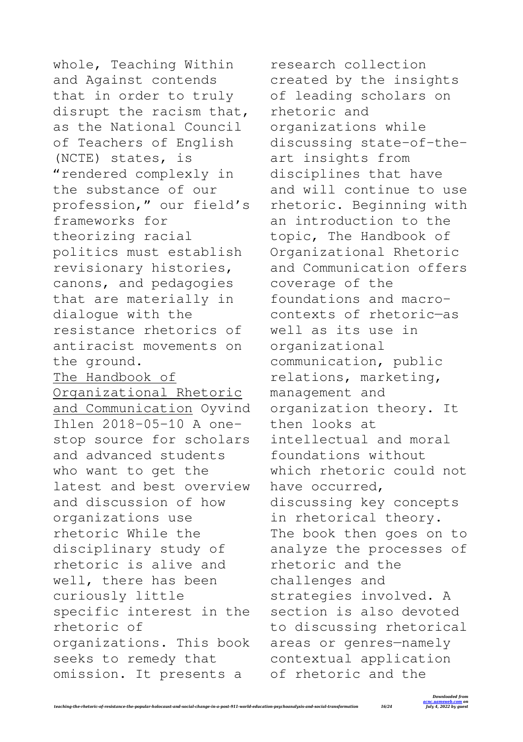whole, Teaching Within and Against contends that in order to truly disrupt the racism that, as the National Council of Teachers of English (NCTE) states, is "rendered complexly in the substance of our profession," our field's frameworks for theorizing racial politics must establish revisionary histories, canons, and pedagogies that are materially in dialogue with the resistance rhetorics of antiracist movements on the ground. The Handbook of Organizational Rhetoric and Communication Oyvind Ihlen 2018-05-10 A onestop source for scholars and advanced students who want to get the latest and best overview and discussion of how organizations use rhetoric While the disciplinary study of rhetoric is alive and well, there has been curiously little specific interest in the rhetoric of organizations. This book seeks to remedy that omission. It presents a

research collection created by the insights of leading scholars on rhetoric and organizations while discussing state-of-theart insights from disciplines that have and will continue to use rhetoric. Beginning with an introduction to the topic, The Handbook of Organizational Rhetoric and Communication offers coverage of the foundations and macrocontexts of rhetoric—as well as its use in organizational communication, public relations, marketing, management and organization theory. It then looks at intellectual and moral foundations without which rhetoric could not have occurred, discussing key concepts in rhetorical theory. The book then goes on to analyze the processes of rhetoric and the challenges and strategies involved. A section is also devoted to discussing rhetorical areas or genres—namely contextual application of rhetoric and the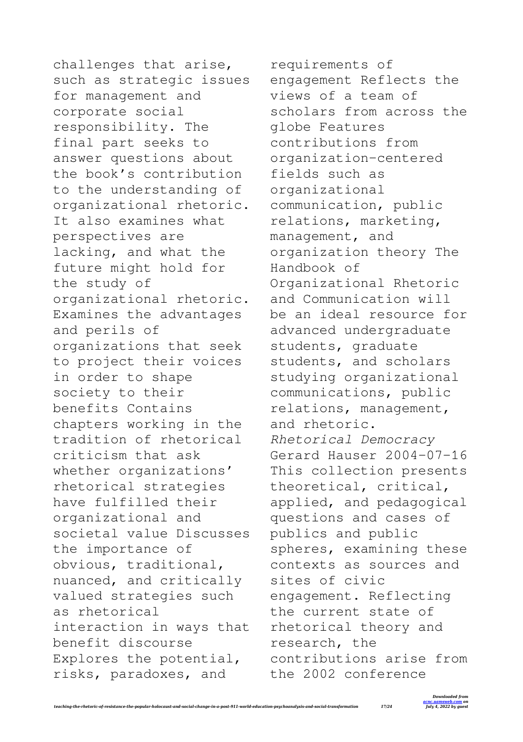challenges that arise, such as strategic issues for management and corporate social responsibility. The final part seeks to answer questions about the book's contribution to the understanding of organizational rhetoric. It also examines what perspectives are lacking, and what the future might hold for the study of organizational rhetoric. Examines the advantages and perils of organizations that seek to project their voices in order to shape society to their benefits Contains chapters working in the tradition of rhetorical criticism that ask whether organizations' rhetorical strategies have fulfilled their organizational and societal value Discusses the importance of obvious, traditional, nuanced, and critically valued strategies such as rhetorical interaction in ways that benefit discourse Explores the potential, risks, paradoxes, and

requirements of engagement Reflects the views of a team of scholars from across the globe Features contributions from organization-centered fields such as organizational communication, public relations, marketing, management, and organization theory The Handbook of Organizational Rhetoric and Communication will be an ideal resource for advanced undergraduate students, graduate students, and scholars studying organizational communications, public relations, management, and rhetoric. *Rhetorical Democracy* Gerard Hauser 2004-07-16 This collection presents theoretical, critical, applied, and pedagogical questions and cases of publics and public spheres, examining these contexts as sources and sites of civic engagement. Reflecting the current state of rhetorical theory and research, the contributions arise from the 2002 conference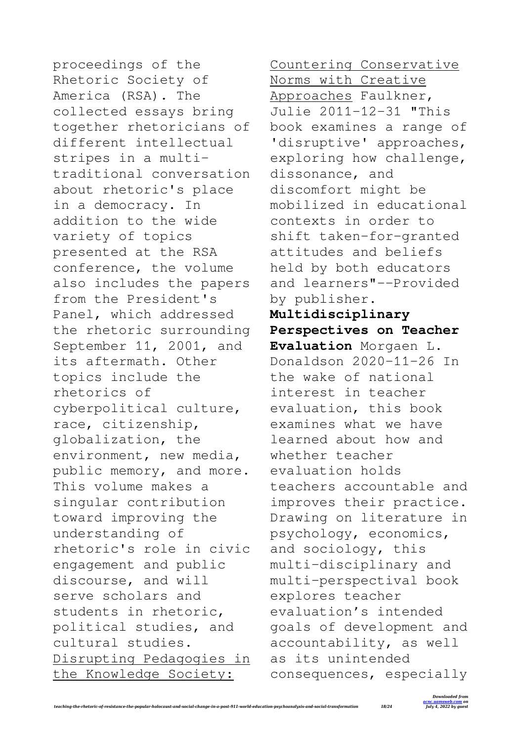proceedings of the Rhetoric Society of America (RSA). The collected essays bring together rhetoricians of different intellectual stripes in a multitraditional conversation about rhetoric's place in a democracy. In addition to the wide variety of topics presented at the RSA conference, the volume also includes the papers from the President's Panel, which addressed the rhetoric surrounding September 11, 2001, and its aftermath. Other topics include the rhetorics of cyberpolitical culture, race, citizenship, globalization, the environment, new media, public memory, and more. This volume makes a singular contribution toward improving the understanding of rhetoric's role in civic engagement and public discourse, and will serve scholars and students in rhetoric, political studies, and cultural studies. Disrupting Pedagogies in the Knowledge Society:

Countering Conservative Norms with Creative Approaches Faulkner, Julie 2011-12-31 "This book examines a range of 'disruptive' approaches, exploring how challenge, dissonance, and discomfort might be mobilized in educational contexts in order to shift taken-for-granted attitudes and beliefs held by both educators and learners"--Provided by publisher. **Multidisciplinary Perspectives on Teacher Evaluation** Morgaen L. Donaldson 2020-11-26 In the wake of national interest in teacher evaluation, this book examines what we have learned about how and whether teacher evaluation holds teachers accountable and improves their practice. Drawing on literature in psychology, economics, and sociology, this multi-disciplinary and multi-perspectival book explores teacher evaluation's intended goals of development and accountability, as well as its unintended

consequences, especially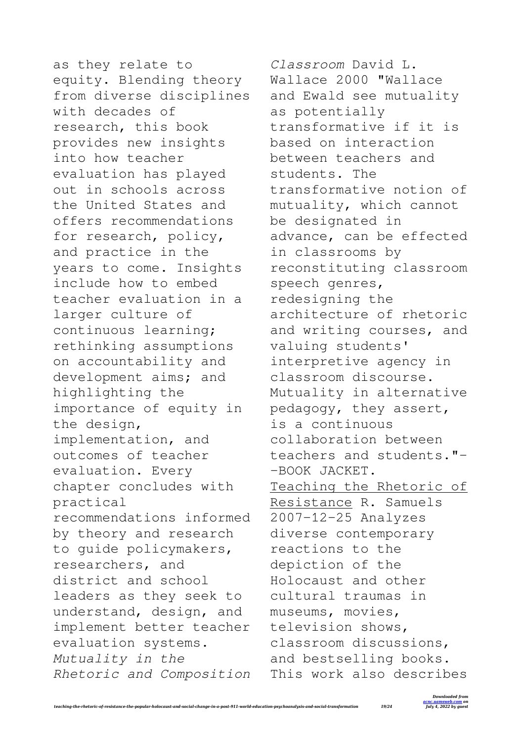as they relate to equity. Blending theory from diverse disciplines with decades of research, this book provides new insights into how teacher evaluation has played out in schools across the United States and offers recommendations for research, policy, and practice in the years to come. Insights include how to embed teacher evaluation in a larger culture of continuous learning; rethinking assumptions on accountability and development aims; and highlighting the importance of equity in the design, implementation, and outcomes of teacher evaluation. Every chapter concludes with practical recommendations informed by theory and research to guide policymakers, researchers, and district and school leaders as they seek to understand, design, and implement better teacher evaluation systems. *Mutuality in the Rhetoric and Composition*

*Classroom* David L. Wallace 2000 "Wallace and Ewald see mutuality as potentially transformative if it is based on interaction between teachers and students. The transformative notion of mutuality, which cannot be designated in advance, can be effected in classrooms by reconstituting classroom speech genres, redesigning the architecture of rhetoric and writing courses, and valuing students' interpretive agency in classroom discourse. Mutuality in alternative pedagogy, they assert, is a continuous collaboration between teachers and students."- -BOOK JACKET. Teaching the Rhetoric of Resistance R. Samuels 2007-12-25 Analyzes diverse contemporary reactions to the depiction of the Holocaust and other cultural traumas in museums, movies, television shows, classroom discussions, and bestselling books. This work also describes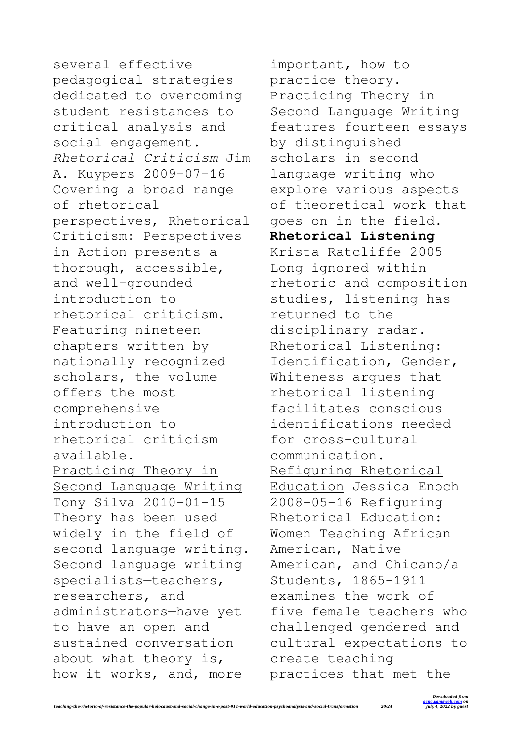several effective pedagogical strategies dedicated to overcoming student resistances to critical analysis and social engagement. *Rhetorical Criticism* Jim A. Kuypers 2009-07-16 Covering a broad range of rhetorical perspectives, Rhetorical Criticism: Perspectives in Action presents a thorough, accessible, and well-grounded introduction to rhetorical criticism. Featuring nineteen chapters written by nationally recognized scholars, the volume offers the most comprehensive introduction to rhetorical criticism available. Practicing Theory in Second Language Writing Tony Silva 2010-01-15 Theory has been used widely in the field of second language writing. Second language writing specialists—teachers, researchers, and administrators—have yet to have an open and sustained conversation about what theory is, how it works, and, more

important, how to practice theory. Practicing Theory in Second Language Writing features fourteen essays by distinguished scholars in second language writing who explore various aspects of theoretical work that goes on in the field. **Rhetorical Listening** Krista Ratcliffe 2005 Long ignored within rhetoric and composition studies, listening has returned to the disciplinary radar. Rhetorical Listening: Identification, Gender, Whiteness argues that rhetorical listening facilitates conscious identifications needed for cross-cultural communication. Refiguring Rhetorical Education Jessica Enoch 2008-05-16 Refiguring Rhetorical Education: Women Teaching African American, Native American, and Chicano/a Students, 1865-1911 examines the work of five female teachers who challenged gendered and cultural expectations to create teaching practices that met the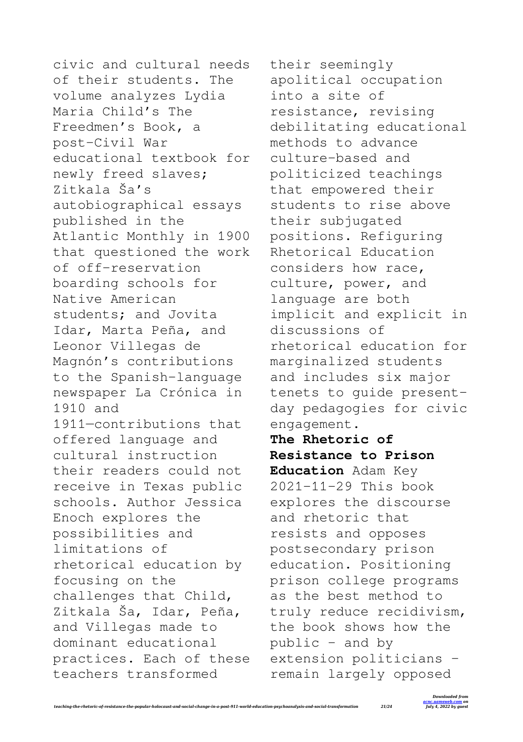civic and cultural needs of their students. The volume analyzes Lydia Maria Child's The Freedmen's Book, a post–Civil War educational textbook for newly freed slaves; Zitkala Ša's autobiographical essays published in the Atlantic Monthly in 1900 that questioned the work of off-reservation boarding schools for Native American students; and Jovita Idar, Marta Peña, and Leonor Villegas de Magnón's contributions to the Spanish-language newspaper La Crónica in 1910 and 1911—contributions that offered language and cultural instruction their readers could not receive in Texas public schools. Author Jessica Enoch explores the possibilities and limitations of rhetorical education by focusing on the challenges that Child, Zitkala Ša, Idar, Peña, and Villegas made to dominant educational practices. Each of these teachers transformed

their seemingly apolitical occupation into a site of resistance, revising debilitating educational methods to advance culture-based and politicized teachings that empowered their students to rise above their subjugated positions. Refiguring Rhetorical Education considers how race, culture, power, and language are both implicit and explicit in discussions of rhetorical education for marginalized students and includes six major tenets to guide presentday pedagogies for civic engagement.

**The Rhetoric of Resistance to Prison Education** Adam Key 2021-11-29 This book explores the discourse and rhetoric that resists and opposes postsecondary prison education. Positioning prison college programs as the best method to truly reduce recidivism, the book shows how the public – and by extension politicians – remain largely opposed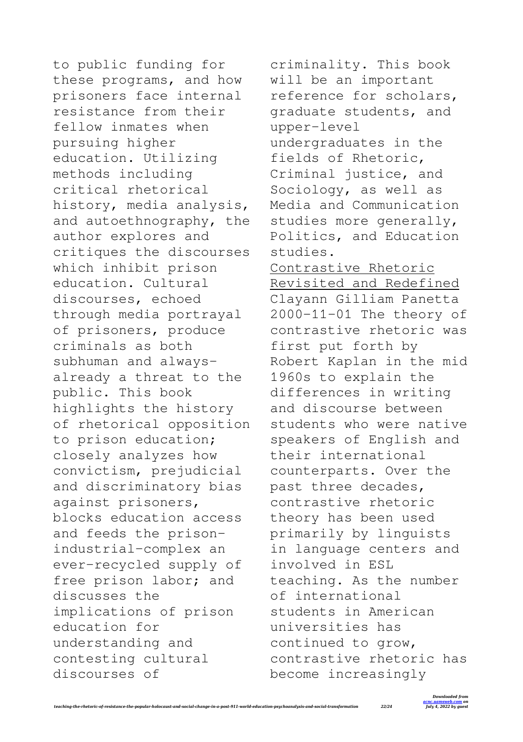to public funding for these programs, and how prisoners face internal resistance from their fellow inmates when pursuing higher education. Utilizing methods including critical rhetorical history, media analysis, and autoethnography, the author explores and critiques the discourses which inhibit prison education. Cultural discourses, echoed through media portrayal of prisoners, produce criminals as both subhuman and alwaysalready a threat to the public. This book highlights the history of rhetorical opposition to prison education; closely analyzes how convictism, prejudicial and discriminatory bias against prisoners, blocks education access and feeds the prisonindustrial-complex an ever-recycled supply of free prison labor; and discusses the implications of prison education for understanding and contesting cultural discourses of

criminality. This book will be an important reference for scholars, graduate students, and upper-level undergraduates in the fields of Rhetoric, Criminal justice, and Sociology, as well as Media and Communication studies more generally, Politics, and Education studies. Contrastive Rhetoric Revisited and Redefined Clayann Gilliam Panetta 2000-11-01 The theory of contrastive rhetoric was first put forth by Robert Kaplan in the mid 1960s to explain the differences in writing and discourse between students who were native speakers of English and their international counterparts. Over the past three decades, contrastive rhetoric theory has been used primarily by linguists in language centers and involved in ESL teaching. As the number of international students in American universities has continued to grow, contrastive rhetoric has become increasingly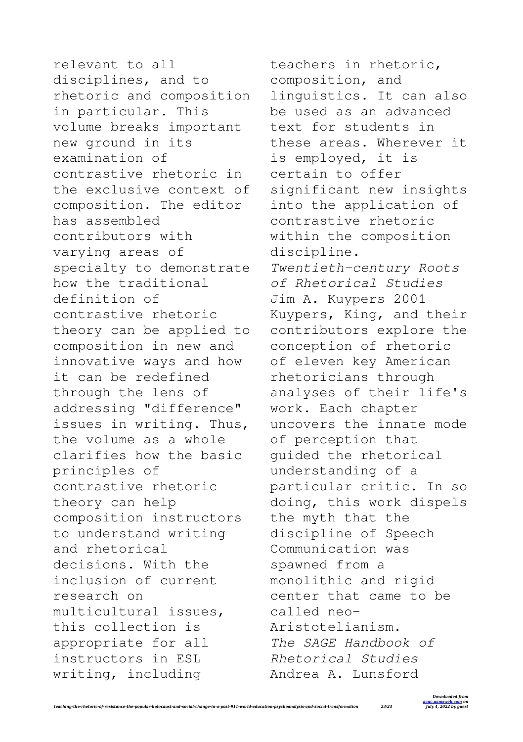relevant to all disciplines, and to rhetoric and composition in particular. This volume breaks important new ground in its examination of contrastive rhetoric in the exclusive context of composition. The editor has assembled contributors with varying areas of specialty to demonstrate how the traditional definition of contrastive rhetoric theory can be applied to composition in new and innovative ways and how it can be redefined through the lens of addressing "difference" issues in writing. Thus, the volume as a whole clarifies how the basic principles of contrastive rhetoric theory can help composition instructors to understand writing and rhetorical decisions. With the inclusion of current research on multicultural issues, this collection is appropriate for all instructors in ESL writing, including

teachers in rhetoric, composition, and linguistics. It can also be used as an advanced text for students in these areas. Wherever it is employed, it is certain to offer significant new insights into the application of contrastive rhetoric within the composition discipline. *Twentieth-century Roots of Rhetorical Studies* Jim A. Kuypers 2001 Kuypers, King, and their contributors explore the conception of rhetoric of eleven key American rhetoricians through analyses of their life's work. Each chapter uncovers the innate mode of perception that guided the rhetorical understanding of a particular critic. In so doing, this work dispels the myth that the discipline of Speech Communication was spawned from a monolithic and rigid center that came to be called neo-Aristotelianism. *The SAGE Handbook of Rhetorical Studies* Andrea A. Lunsford